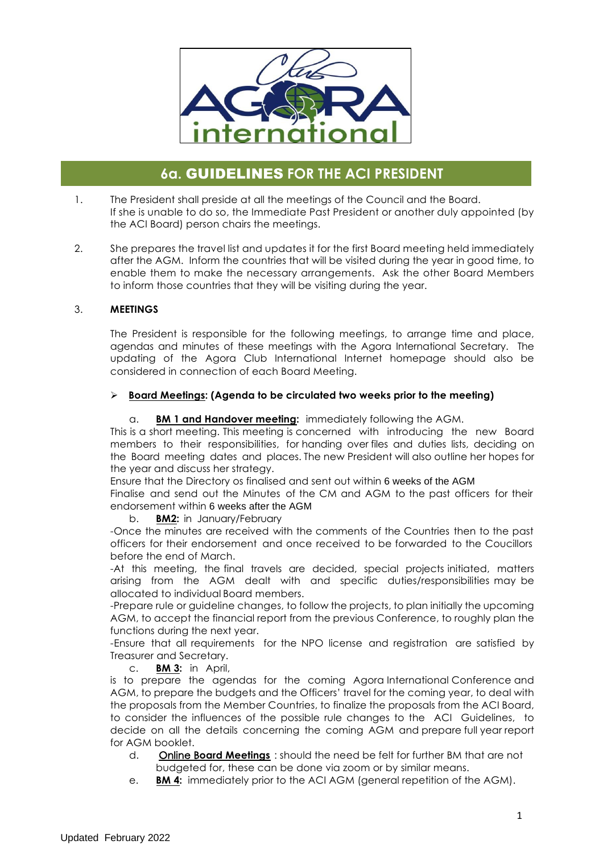

# **6a.** GUIDELINES **FOR THE ACI PRESIDENT**

- 1. The President shall preside at all the meetings of the Council and the Board. If she is unable to do so, the Immediate Past President or another duly appointed (by the ACI Board) person chairs the meetings.
- 2. She prepares the travel list and updates it for the first Board meeting held immediately after the AGM. Inform the countries that will be visited during the year in good time, to enable them to make the necessary arrangements. Ask the other Board Members to inform those countries that they will be visiting during the year.

## 3. **MEETINGS**

The President is responsible for the following meetings, to arrange time and place, agendas and minutes of these meetings with the Agora International Secretary. The updating of the Agora Club International Internet homepage should also be considered in connection of each Board Meeting.

## Ø **Board Meetings: (Agenda to be circulated two weeks prior to the meeting)**

## a. **BM 1 and Handover meeting:** immediately following the AGM.

This is a short meeting. This meeting is concerned with introducing the new Board members to their responsibilities, for handing over files and duties lists, deciding on the Board meeting dates and places. The new President will also outline her hopes for the year and discuss her strategy.

Ensure that the Directory os finalised and sent out within 6 weeks of the AGM

 endorsement within 6 weeks after the AGM Finalise and send out the Minutes of the CM and AGM to the past officers for their

b. **BM2:** in January/February

-Once the minutes are received with the comments of the Countries then to the past officers for their endorsement and once received to be forwarded to the Coucillors before the end of March.

-At this meeting, the final travels are decided, special projects initiated, matters arising from the AGM dealt with and specific duties/responsibilities may be allocated to individual Board members.

-Prepare rule or guideline changes, to follow the projects, to plan initially the upcoming AGM, to accept the financial report from the previous Conference, to roughly plan the functions during the next year.

-Ensure that all requirements for the NPO license and registration are satisfied by Treasurer and Secretary.

c. **BM 3:** in April,

is to prepare the agendas for the coming Agora International Conference and AGM, to prepare the budgets and the Officers' travel for the coming year, to deal with the proposals from the Member Countries, to finalize the proposals from the ACI Board, to consider the influences of the possible rule changes to the ACI Guidelines, to decide on all the details concerning the coming AGM and prepare full year report for AGM booklet.

- d. Online B**oard Meetings** : should the need be felt for further BM that are not budgeted for, these can be done via zoom or by similar means.
- e. **BM 4:** immediately prior to the ACI AGM (general repetition of the AGM).